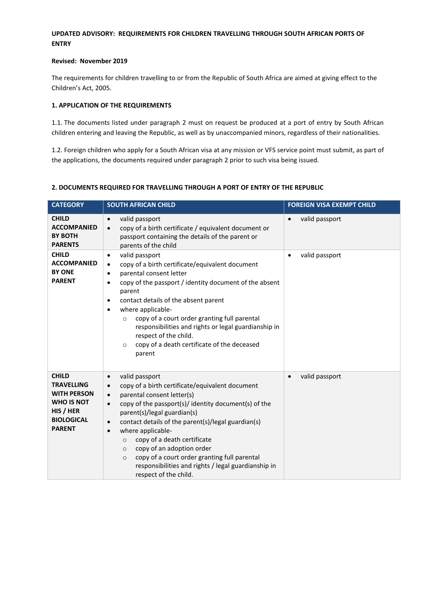## **UPDATED ADVISORY: REQUIREMENTS FOR CHILDREN TRAVELLING THROUGH SOUTH AFRICAN PORTS OF ENTRY**

### **Revised: November 2019**

The requirements for children travelling to or from the Republic of South Africa are aimed at giving effect to the Children's Act, 2005.

#### **1. APPLICATION OF THE REQUIREMENTS**

1.1. The documents listed under paragraph 2 must on request be produced at a port of entry by South African children entering and leaving the Republic, as well as by unaccompanied minors, regardless of their nationalities.

1.2. Foreign children who apply for a South African visa at any mission or VFS service point must submit, as part of the applications, the documents required under paragraph 2 prior to such visa being issued.

### **2. DOCUMENTS REQUIRED FOR TRAVELLING THROUGH A PORT OF ENTRY OF THE REPUBLIC**

| <b>CATEGORY</b>                                                                                                                 | <b>SOUTH AFRICAN CHILD</b>                                                                                                                                                                                                                                                                                                                                                                                                                                                                                                                                                   | <b>FOREIGN VISA EXEMPT CHILD</b> |
|---------------------------------------------------------------------------------------------------------------------------------|------------------------------------------------------------------------------------------------------------------------------------------------------------------------------------------------------------------------------------------------------------------------------------------------------------------------------------------------------------------------------------------------------------------------------------------------------------------------------------------------------------------------------------------------------------------------------|----------------------------------|
| <b>CHILD</b><br><b>ACCOMPANIED</b><br><b>BY BOTH</b><br><b>PARENTS</b>                                                          | valid passport<br>$\bullet$<br>copy of a birth certificate / equivalent document or<br>$\bullet$<br>passport containing the details of the parent or<br>parents of the child                                                                                                                                                                                                                                                                                                                                                                                                 | valid passport<br>$\bullet$      |
| <b>CHILD</b><br><b>ACCOMPANIED</b><br><b>BY ONE</b><br><b>PARENT</b>                                                            | valid passport<br>$\bullet$<br>copy of a birth certificate/equivalent document<br>$\bullet$<br>parental consent letter<br>$\bullet$<br>copy of the passport / identity document of the absent<br>$\bullet$<br>parent<br>contact details of the absent parent<br>$\bullet$<br>where applicable-<br>$\bullet$<br>copy of a court order granting full parental<br>$\circ$<br>responsibilities and rights or legal guardianship in<br>respect of the child.<br>copy of a death certificate of the deceased<br>$\circ$<br>parent                                                  | valid passport<br>$\bullet$      |
| <b>CHILD</b><br><b>TRAVELLING</b><br><b>WITH PERSON</b><br><b>WHO IS NOT</b><br>HIS / HER<br><b>BIOLOGICAL</b><br><b>PARENT</b> | valid passport<br>$\bullet$<br>copy of a birth certificate/equivalent document<br>$\bullet$<br>parental consent letter(s)<br>$\bullet$<br>copy of the passport(s)/ identity document(s) of the<br>$\bullet$<br>parent(s)/legal guardian(s)<br>contact details of the parent(s)/legal guardian(s)<br>$\bullet$<br>where applicable-<br>$\bullet$<br>copy of a death certificate<br>$\circ$<br>copy of an adoption order<br>$\circ$<br>copy of a court order granting full parental<br>$\circ$<br>responsibilities and rights / legal guardianship in<br>respect of the child. | valid passport<br>$\bullet$      |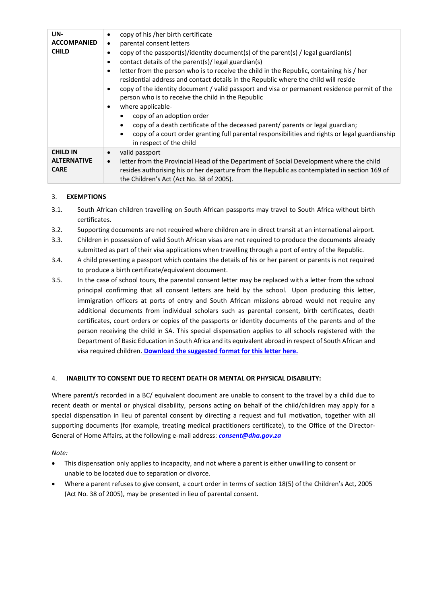| UN-<br><b>ACCOMPANIED</b><br><b>CHILD</b>            | copy of his /her birth certificate<br>$\bullet$<br>parental consent letters<br>$\bullet$<br>copy of the passport(s)/identity document(s) of the parent(s) / legal guardian(s)<br>contact details of the parent(s)/legal guardian(s)<br>letter from the person who is to receive the child in the Republic, containing his / her<br>residential address and contact details in the Republic where the child will reside<br>copy of the identity document / valid passport and visa or permanent residence permit of the<br>person who is to receive the child in the Republic<br>where applicable-<br>copy of an adoption order<br>copy of a death certificate of the deceased parent/ parents or legal guardian;<br>copy of a court order granting full parental responsibilities and rights or legal guardianship<br>in respect of the child |
|------------------------------------------------------|-----------------------------------------------------------------------------------------------------------------------------------------------------------------------------------------------------------------------------------------------------------------------------------------------------------------------------------------------------------------------------------------------------------------------------------------------------------------------------------------------------------------------------------------------------------------------------------------------------------------------------------------------------------------------------------------------------------------------------------------------------------------------------------------------------------------------------------------------|
| <b>CHILD IN</b><br><b>ALTERNATIVE</b><br><b>CARE</b> | valid passport<br>letter from the Provincial Head of the Department of Social Development where the child<br>$\bullet$<br>resides authorising his or her departure from the Republic as contemplated in section 169 of<br>the Children's Act (Act No. 38 of 2005).                                                                                                                                                                                                                                                                                                                                                                                                                                                                                                                                                                            |

### 3. **EXEMPTIONS**

- 3.1. South African children travelling on South African passports may travel to South Africa without birth certificates.
- 3.2. Supporting documents are not required where children are in direct transit at an international airport.
- 3.3. Children in possession of valid South African visas are not required to produce the documents already submitted as part of their visa applications when travelling through a port of entry of the Republic.
- 3.4. A child presenting a passport which contains the details of his or her parent or parents is not required to produce a birth certificate/equivalent document.
- 3.5. In the case of school tours, the parental consent letter may be replaced with a letter from the school principal confirming that all consent letters are held by the school. Upon producing this letter, immigration officers at ports of entry and South African missions abroad would not require any additional documents from individual scholars such as parental consent, birth certificates, death certificates, court orders or copies of the passports or identity documents of the parents and of the person receiving the child in SA. This special dispensation applies to all schools registered with the Department of Basic Education in South Africa and its equivalent abroad in respect of South African and visa required children. **Download the suggested [format for this](http://www.dha.gov.za/files/Parental-Consent-Letter_Suggested-Format_v8.pdf) letter here.**

### 4. **INABILITY TO CONSENT DUE TO RECENT DEATH OR MENTAL OR PHYSICAL DISABILITY:**

Where parent/s recorded in a BC/ equivalent document are unable to consent to the travel by a child due to recent death or mental or physical disability, persons acting on behalf of the child/children may apply for a special dispensation in lieu of parental consent by directing a request and full motivation, together with all supporting documents (for example, treating medical practitioners certificate), to the Office of the Director-General of Home Affairs, at the following e-mail address: *[consent@dha.gov.za](mailto:consent@dha.gov.za)*

*Note:*

- This dispensation only applies to incapacity, and not where a parent is either unwilling to consent or unable to be located due to separation or divorce.
- Where a parent refuses to give consent, a court order in terms of section 18(5) of the Children's Act, 2005 (Act No. 38 of 2005), may be presented in lieu of parental consent.